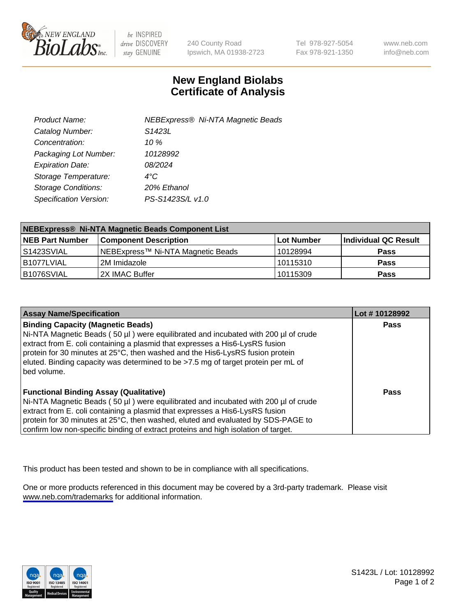

be INSPIRED drive DISCOVERY stay GENUINE

240 County Road Ipswich, MA 01938-2723 Tel 978-927-5054 Fax 978-921-1350

www.neb.com info@neb.com

## **New England Biolabs Certificate of Analysis**

| <b>NEBExpress® Ni-NTA Magnetic Beads</b> |
|------------------------------------------|
| S <sub>1423</sub> L                      |
| 10 $\%$                                  |
| 10128992                                 |
| 08/2024                                  |
| $4^{\circ}$ C                            |
| 20% Ethanol                              |
| PS-S1423S/L v1.0                         |
|                                          |

| NEBExpress® Ni-NTA Magnetic Beads Component List |                                   |                   |                      |  |
|--------------------------------------------------|-----------------------------------|-------------------|----------------------|--|
| <b>NEB Part Number</b>                           | <b>Component Description</b>      | <b>Lot Number</b> | Individual QC Result |  |
| l S1423SVIAL                                     | NEBExpress™ Ni-NTA Magnetic Beads | 10128994          | <b>Pass</b>          |  |
| I B1077LVIAL                                     | l 2M Imidazole.                   | 10115310          | <b>Pass</b>          |  |
| B1076SVIAL                                       | 2X IMAC Buffer                    | 10115309          | <b>Pass</b>          |  |

| <b>Assay Name/Specification</b>                                                                                                                                                                                                                                                                                                                                                                     | Lot #10128992 |
|-----------------------------------------------------------------------------------------------------------------------------------------------------------------------------------------------------------------------------------------------------------------------------------------------------------------------------------------------------------------------------------------------------|---------------|
| <b>Binding Capacity (Magnetic Beads)</b><br>Ni-NTA Magnetic Beads (50 µl) were equilibrated and incubated with 200 µl of crude<br>extract from E. coli containing a plasmid that expresses a His6-LysRS fusion<br>protein for 30 minutes at 25°C, then washed and the His6-LysRS fusion protein<br>eluted. Binding capacity was determined to be >7.5 mg of target protein per mL of<br>bed volume. | <b>Pass</b>   |
| <b>Functional Binding Assay (Qualitative)</b><br>Ni-NTA Magnetic Beads (50 µl) were equilibrated and incubated with 200 µl of crude<br>extract from E. coli containing a plasmid that expresses a His6-LysRS fusion<br>protein for 30 minutes at 25°C, then washed, eluted and evaluated by SDS-PAGE to<br>confirm low non-specific binding of extract proteins and high isolation of target.       | Pass          |

This product has been tested and shown to be in compliance with all specifications.

One or more products referenced in this document may be covered by a 3rd-party trademark. Please visit <www.neb.com/trademarks>for additional information.